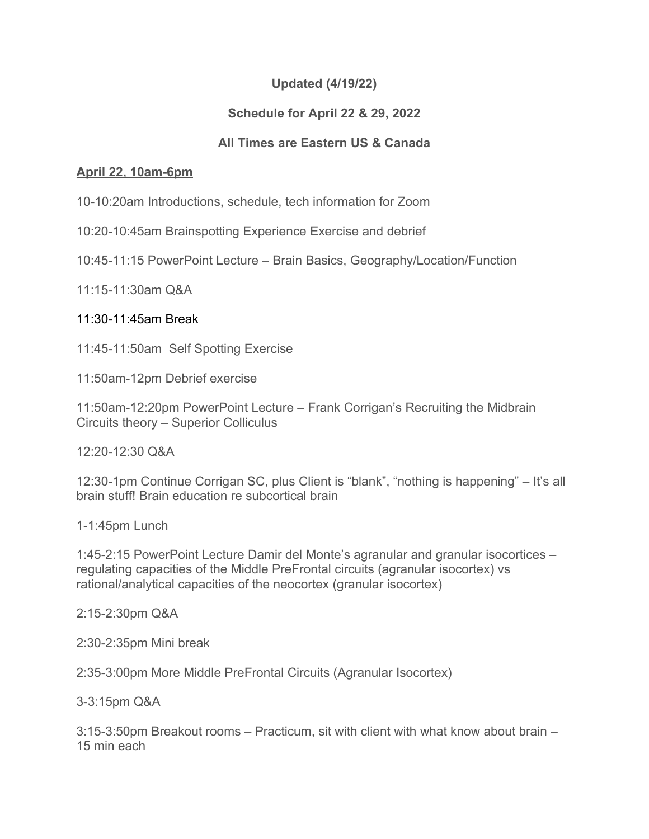# **Updated (4/19/22)**

## **Schedule for April 22 & 29, 2022**

## **All Times are Eastern US & Canada**

## **April 22, 10am-6pm**

10-10:20am Introductions, schedule, tech information for Zoom

10:20-10:45am Brainspotting Experience Exercise and debrief

10:45-11:15 PowerPoint Lecture – Brain Basics, Geography/Location/Function

11:15-11:30am Q&A

## 11:30-11:45am Break

11:45-11:50am Self Spotting Exercise

11:50am-12pm Debrief exercise

11:50am-12:20pm PowerPoint Lecture – Frank Corrigan's Recruiting the Midbrain Circuits theory – Superior Colliculus

12:20-12:30 Q&A

12:30-1pm Continue Corrigan SC, plus Client is "blank", "nothing is happening" – It's all brain stuff! Brain education re subcortical brain

1-1:45pm Lunch

1:45-2:15 PowerPoint Lecture Damir del Monte's agranular and granular isocortices – regulating capacities of the Middle PreFrontal circuits (agranular isocortex) vs rational/analytical capacities of the neocortex (granular isocortex)

2:15-2:30pm Q&A

2:30-2:35pm Mini break

2:35-3:00pm More Middle PreFrontal Circuits (Agranular Isocortex)

3-3:15pm Q&A

3:15-3:50pm Breakout rooms – Practicum, sit with client with what know about brain – 15 min each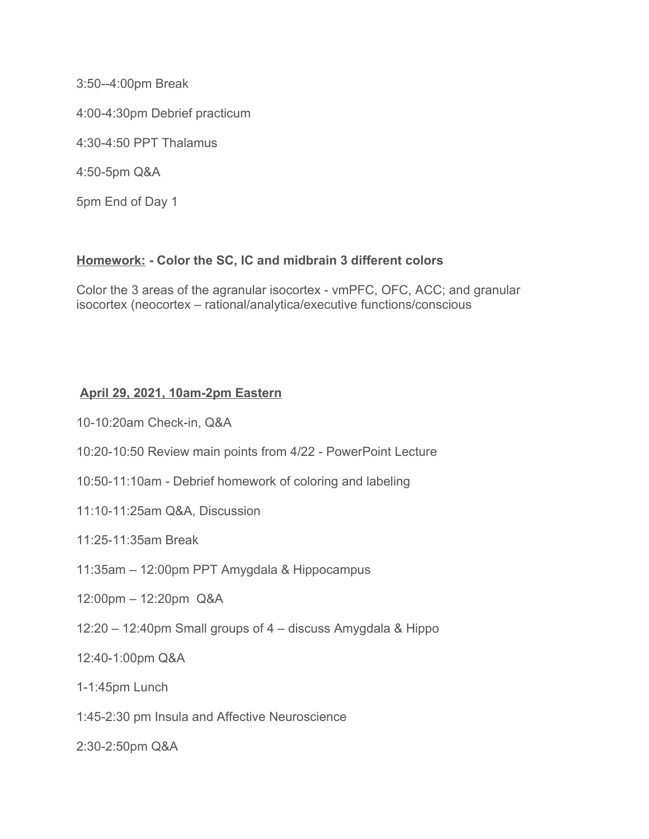3:50--4:00pm Break

4:00-4:30pm Debrief practicum

4:30-4:50 PPT Thalamus

4:50-5pm Q&A

5pm End of Day 1

### **Homework: - Color the SC, IC and midbrain 3 different colors**

Color the 3 areas of the agranular isocortex - vmPFC, OFC, ACC; and granular isocortex (neocortex – rational/analytica/executive functions/conscious

### **April 29, 2021, 10am-2pm Eastern**

10-10:20am Check-in, Q&A

- 10:20-10:50 Review main points from 4/22 PowerPoint Lecture
- 10:50-11:10am Debrief homework of coloring and labeling
- 11:10-11:25am Q&A, Discussion

### 11:25-11:35am Break

- 11:35am 12:00pm PPT Amygdala & Hippocampus
- 12:00pm 12:20pm Q&A
- 12:20 12:40pm Small groups of 4 discuss Amygdala & Hippo

12:40-1:00pm Q&A

1-1:45pm Lunch

1:45-2:30 pm Insula and Affective Neuroscience

2:30-2:50pm Q&A